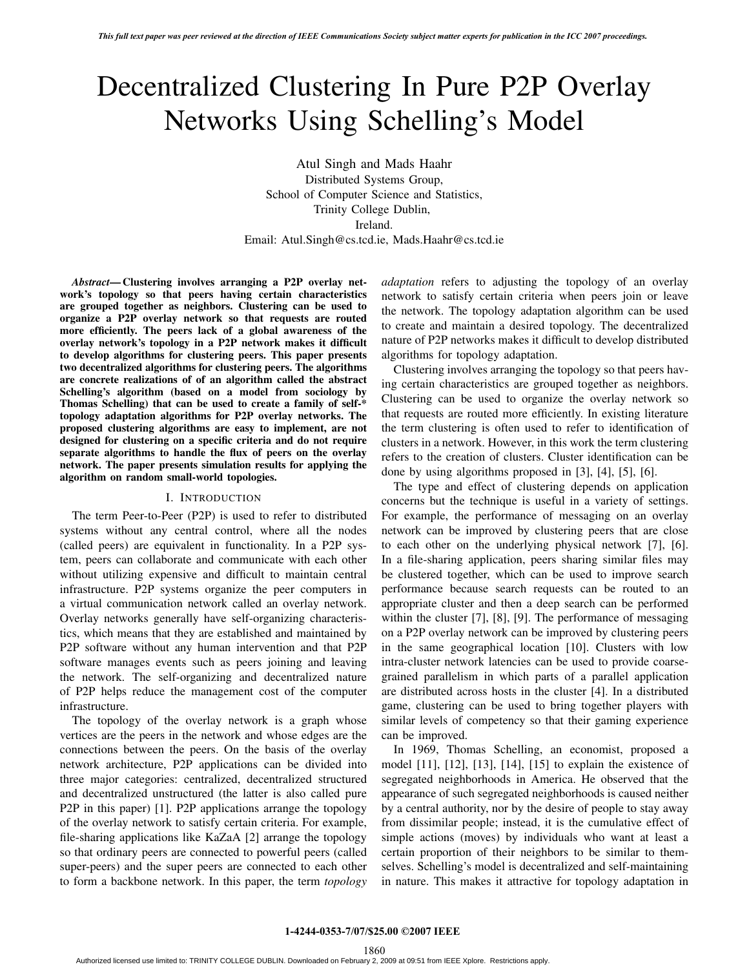# Decentralized Clustering In Pure P2P Overlay Networks Using Schelling's Model

Atul Singh and Mads Haahr Distributed Systems Group, School of Computer Science and Statistics, Trinity College Dublin, Ireland. Email: Atul.Singh@cs.tcd.ie, Mads.Haahr@cs.tcd.ie

*Abstract***— Clustering involves arranging a P2P overlay network's topology so that peers having certain characteristics are grouped together as neighbors. Clustering can be used to organize a P2P overlay network so that requests are routed more efficiently. The peers lack of a global awareness of the overlay network's topology in a P2P network makes it difficult to develop algorithms for clustering peers. This paper presents two decentralized algorithms for clustering peers. The algorithms are concrete realizations of of an algorithm called the abstract Schelling's algorithm (based on a model from sociology by Thomas Schelling) that can be used to create a family of self-\* topology adaptation algorithms for P2P overlay networks. The proposed clustering algorithms are easy to implement, are not designed for clustering on a specific criteria and do not require separate algorithms to handle the flux of peers on the overlay network. The paper presents simulation results for applying the algorithm on random small-world topologies.**

# I. INTRODUCTION

The term Peer-to-Peer (P2P) is used to refer to distributed systems without any central control, where all the nodes (called peers) are equivalent in functionality. In a P2P system, peers can collaborate and communicate with each other without utilizing expensive and difficult to maintain central infrastructure. P2P systems organize the peer computers in a virtual communication network called an overlay network. Overlay networks generally have self-organizing characteristics, which means that they are established and maintained by P2P software without any human intervention and that P2P software manages events such as peers joining and leaving the network. The self-organizing and decentralized nature of P2P helps reduce the management cost of the computer infrastructure.

The topology of the overlay network is a graph whose vertices are the peers in the network and whose edges are the connections between the peers. On the basis of the overlay network architecture, P2P applications can be divided into three major categories: centralized, decentralized structured and decentralized unstructured (the latter is also called pure P2P in this paper) [1]. P2P applications arrange the topology of the overlay network to satisfy certain criteria. For example, file-sharing applications like KaZaA [2] arrange the topology so that ordinary peers are connected to powerful peers (called super-peers) and the super peers are connected to each other to form a backbone network. In this paper, the term *topology* *adaptation* refers to adjusting the topology of an overlay network to satisfy certain criteria when peers join or leave the network. The topology adaptation algorithm can be used to create and maintain a desired topology. The decentralized nature of P2P networks makes it difficult to develop distributed algorithms for topology adaptation.

Clustering involves arranging the topology so that peers having certain characteristics are grouped together as neighbors. Clustering can be used to organize the overlay network so that requests are routed more efficiently. In existing literature the term clustering is often used to refer to identification of clusters in a network. However, in this work the term clustering refers to the creation of clusters. Cluster identification can be done by using algorithms proposed in [3], [4], [5], [6].

The type and effect of clustering depends on application concerns but the technique is useful in a variety of settings. For example, the performance of messaging on an overlay network can be improved by clustering peers that are close to each other on the underlying physical network [7], [6]. In a file-sharing application, peers sharing similar files may be clustered together, which can be used to improve search performance because search requests can be routed to an appropriate cluster and then a deep search can be performed within the cluster [7], [8], [9]. The performance of messaging on a P2P overlay network can be improved by clustering peers in the same geographical location [10]. Clusters with low intra-cluster network latencies can be used to provide coarsegrained parallelism in which parts of a parallel application are distributed across hosts in the cluster [4]. In a distributed game, clustering can be used to bring together players with similar levels of competency so that their gaming experience can be improved.

In 1969, Thomas Schelling, an economist, proposed a model [11], [12], [13], [14], [15] to explain the existence of segregated neighborhoods in America. He observed that the appearance of such segregated neighborhoods is caused neither by a central authority, nor by the desire of people to stay away from dissimilar people; instead, it is the cumulative effect of simple actions (moves) by individuals who want at least a certain proportion of their neighbors to be similar to themselves. Schelling's model is decentralized and self-maintaining in nature. This makes it attractive for topology adaptation in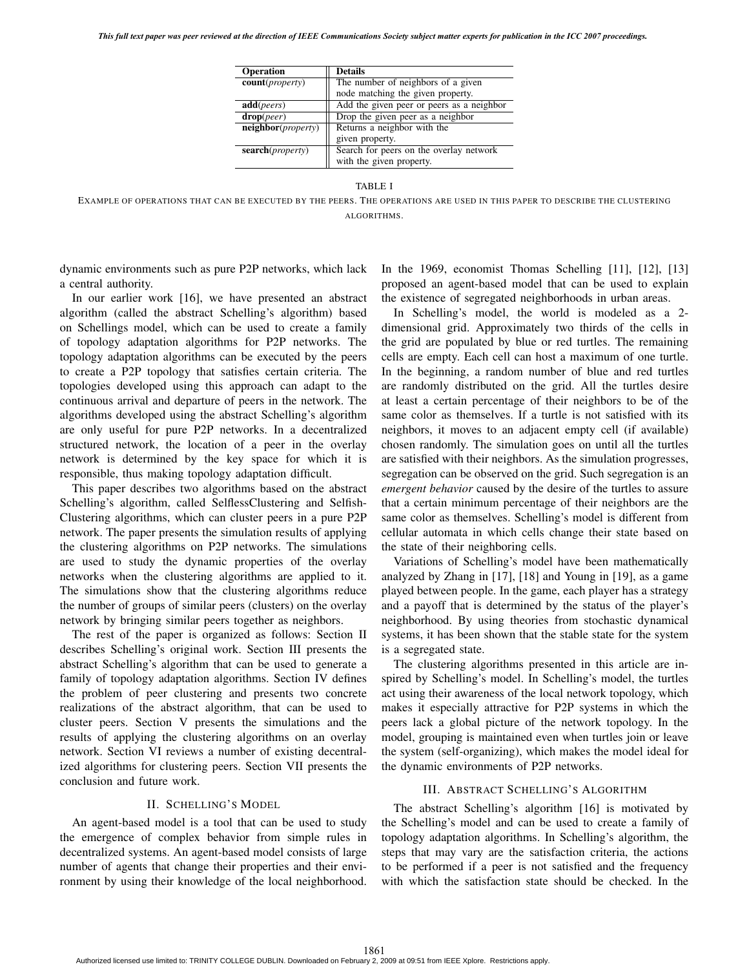| Operation                 | <b>Details</b>                            |  |
|---------------------------|-------------------------------------------|--|
| count(propert)            | The number of neighbors of a given        |  |
|                           | node matching the given property.         |  |
| add(peters)               | Add the given peer or peers as a neighbor |  |
| drop( <i>peer</i> )       | Drop the given peer as a neighbor         |  |
| neighbor(property)        | Returns a neighbor with the               |  |
|                           | given property.                           |  |
| search( <i>property</i> ) | Search for peers on the overlay network   |  |
|                           | with the given property.                  |  |

#### TABLE I

EXAMPLE OF OPERATIONS THAT CAN BE EXECUTED BY THE PEERS. THE OPERATIONS ARE USED IN THIS PAPER TO DESCRIBE THE CLUSTERING ALGORITHMS.

dynamic environments such as pure P2P networks, which lack a central authority.

In our earlier work [16], we have presented an abstract algorithm (called the abstract Schelling's algorithm) based on Schellings model, which can be used to create a family of topology adaptation algorithms for P2P networks. The topology adaptation algorithms can be executed by the peers to create a P2P topology that satisfies certain criteria. The topologies developed using this approach can adapt to the continuous arrival and departure of peers in the network. The algorithms developed using the abstract Schelling's algorithm are only useful for pure P2P networks. In a decentralized structured network, the location of a peer in the overlay network is determined by the key space for which it is responsible, thus making topology adaptation difficult.

This paper describes two algorithms based on the abstract Schelling's algorithm, called SelflessClustering and Selfish-Clustering algorithms, which can cluster peers in a pure P2P network. The paper presents the simulation results of applying the clustering algorithms on P2P networks. The simulations are used to study the dynamic properties of the overlay networks when the clustering algorithms are applied to it. The simulations show that the clustering algorithms reduce the number of groups of similar peers (clusters) on the overlay network by bringing similar peers together as neighbors.

The rest of the paper is organized as follows: Section II describes Schelling's original work. Section III presents the abstract Schelling's algorithm that can be used to generate a family of topology adaptation algorithms. Section IV defines the problem of peer clustering and presents two concrete realizations of the abstract algorithm, that can be used to cluster peers. Section V presents the simulations and the results of applying the clustering algorithms on an overlay network. Section VI reviews a number of existing decentralized algorithms for clustering peers. Section VII presents the conclusion and future work.

## II. SCHELLING'S MODEL

An agent-based model is a tool that can be used to study the emergence of complex behavior from simple rules in decentralized systems. An agent-based model consists of large number of agents that change their properties and their environment by using their knowledge of the local neighborhood. In the 1969, economist Thomas Schelling [11], [12], [13] proposed an agent-based model that can be used to explain the existence of segregated neighborhoods in urban areas.

In Schelling's model, the world is modeled as a 2 dimensional grid. Approximately two thirds of the cells in the grid are populated by blue or red turtles. The remaining cells are empty. Each cell can host a maximum of one turtle. In the beginning, a random number of blue and red turtles are randomly distributed on the grid. All the turtles desire at least a certain percentage of their neighbors to be of the same color as themselves. If a turtle is not satisfied with its neighbors, it moves to an adjacent empty cell (if available) chosen randomly. The simulation goes on until all the turtles are satisfied with their neighbors. As the simulation progresses, segregation can be observed on the grid. Such segregation is an *emergent behavior* caused by the desire of the turtles to assure that a certain minimum percentage of their neighbors are the same color as themselves. Schelling's model is different from cellular automata in which cells change their state based on the state of their neighboring cells.

Variations of Schelling's model have been mathematically analyzed by Zhang in [17], [18] and Young in [19], as a game played between people. In the game, each player has a strategy and a payoff that is determined by the status of the player's neighborhood. By using theories from stochastic dynamical systems, it has been shown that the stable state for the system is a segregated state.

The clustering algorithms presented in this article are inspired by Schelling's model. In Schelling's model, the turtles act using their awareness of the local network topology, which makes it especially attractive for P2P systems in which the peers lack a global picture of the network topology. In the model, grouping is maintained even when turtles join or leave the system (self-organizing), which makes the model ideal for the dynamic environments of P2P networks.

## III. ABSTRACT SCHELLING'S ALGORITHM

The abstract Schelling's algorithm [16] is motivated by the Schelling's model and can be used to create a family of topology adaptation algorithms. In Schelling's algorithm, the steps that may vary are the satisfaction criteria, the actions to be performed if a peer is not satisfied and the frequency with which the satisfaction state should be checked. In the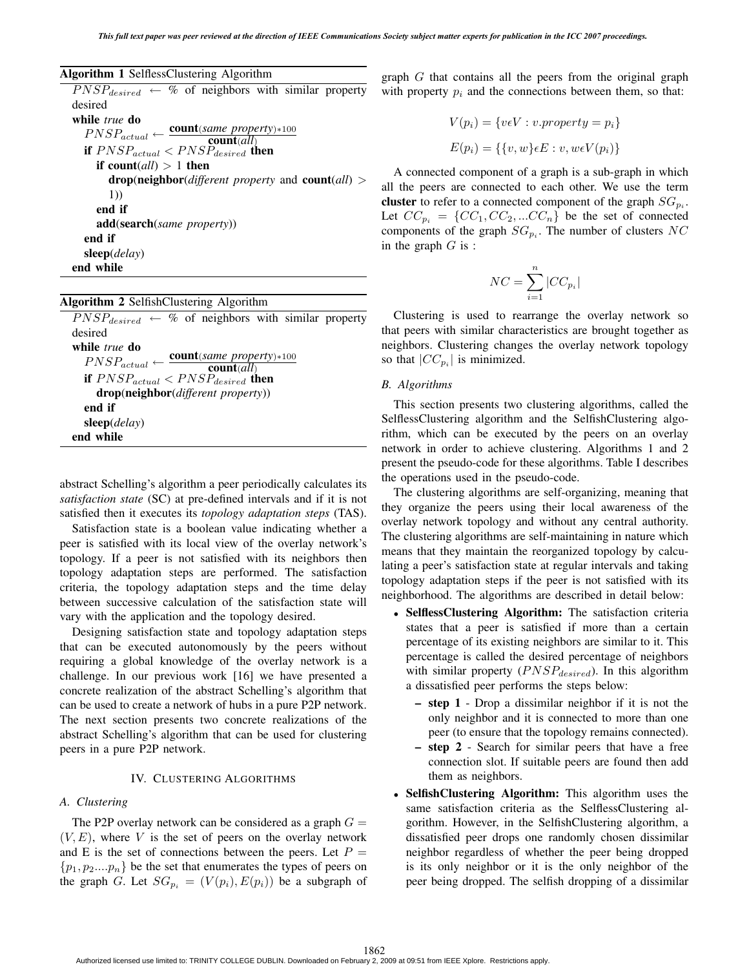| <b>Algorithm 1 SelflessClustering Algorithm</b>                                          |
|------------------------------------------------------------------------------------------|
| $PNSP_{desired} \leftarrow %$ of neighbors with similar property                         |
| desired                                                                                  |
| while <i>true</i> do                                                                     |
| $PNSP_{actual} \leftarrow \frac{count(same\ property) * 100}{}$<br>$count(\textit{all})$ |
| if $PNSP_{actual} < PNSP_{desired}$ then                                                 |
| if count( <i>all</i> ) > 1 then                                                          |
| <b>drop</b> (neighbor( <i>different property</i> and <b>count</b> ( <i>all</i> ) >       |
| 1)                                                                                       |
| end if                                                                                   |
| $add(s\acute{e}arch(same\ property))$                                                    |
| end if                                                                                   |
| sleep( <i>delay</i> )                                                                    |
| end while                                                                                |
|                                                                                          |

|  |  | Algorithm 2 SelfishClustering Algorithm |  |
|--|--|-----------------------------------------|--|
|--|--|-----------------------------------------|--|

| $PNSP_{desired} \leftarrow %$ of neighbors with similar property                       |
|----------------------------------------------------------------------------------------|
| desired                                                                                |
| while <i>true</i> do                                                                   |
| $PNSP_{actual} \leftarrow \frac{count(same\ property)*100}{}$<br>$count(\textit{all})$ |
| if $PNSP_{actual} < PNSP_{desired}$ then                                               |
| drop(neighbor(different property))                                                     |
| end if                                                                                 |
| $\textbf{sleep}(delay)$                                                                |
| end while                                                                              |
|                                                                                        |

abstract Schelling's algorithm a peer periodically calculates its *satisfaction state* (SC) at pre-defined intervals and if it is not satisfied then it executes its *topology adaptation steps* (TAS).

Satisfaction state is a boolean value indicating whether a peer is satisfied with its local view of the overlay network's topology. If a peer is not satisfied with its neighbors then topology adaptation steps are performed. The satisfaction criteria, the topology adaptation steps and the time delay between successive calculation of the satisfaction state will vary with the application and the topology desired.

Designing satisfaction state and topology adaptation steps that can be executed autonomously by the peers without requiring a global knowledge of the overlay network is a challenge. In our previous work [16] we have presented a concrete realization of the abstract Schelling's algorithm that can be used to create a network of hubs in a pure P2P network. The next section presents two concrete realizations of the abstract Schelling's algorithm that can be used for clustering peers in a pure P2P network.

# IV. CLUSTERING ALGORITHMS

# *A. Clustering*

The P2P overlay network can be considered as a graph  $G =$  $(V, E)$ , where V is the set of peers on the overlay network and E is the set of connections between the peers. Let  $P =$  $\{p_1, p_2...p_n\}$  be the set that enumerates the types of peers on the graph G. Let  $SG_{p_i} = (V(p_i), E(p_i))$  be a subgraph of graph G that contains all the peers from the original graph with property  $p_i$  and the connections between them, so that:

$$
V(p_i) = \{v \in V : v \text{.property} = p_i\}
$$

$$
E(p_i) = \{\{v, w\} \in E : v, w \in V(p_i)\}
$$

A connected component of a graph is a sub-graph in which all the peers are connected to each other. We use the term **cluster** to refer to a connected component of the graph  $SG_{p_i}$ . Let  $CC_{p_i} = \{CC_1, CC_2, ... CC_n\}$  be the set of connected components of the graph  $SG_{pi}$ . The number of clusters NC in the graph  $G$  is :

$$
NC = \sum_{i=1}^{n} |CC_{p_i}|
$$

Clustering is used to rearrange the overlay network so that peers with similar characteristics are brought together as neighbors. Clustering changes the overlay network topology so that  $|CC_{p_i}|$  is minimized.

# *B. Algorithms*

This section presents two clustering algorithms, called the SelflessClustering algorithm and the SelfishClustering algorithm, which can be executed by the peers on an overlay network in order to achieve clustering. Algorithms 1 and 2 present the pseudo-code for these algorithms. Table I describes the operations used in the pseudo-code.

The clustering algorithms are self-organizing, meaning that they organize the peers using their local awareness of the overlay network topology and without any central authority. The clustering algorithms are self-maintaining in nature which means that they maintain the reorganized topology by calculating a peer's satisfaction state at regular intervals and taking topology adaptation steps if the peer is not satisfied with its neighborhood. The algorithms are described in detail below:

- **SelflessClustering Algorithm:** The satisfaction criteria states that a peer is satisfied if more than a certain percentage of its existing neighbors are similar to it. This percentage is called the desired percentage of neighbors with similar property  $(PNSP_{desired})$ . In this algorithm a dissatisfied peer performs the steps below:
	- **step 1** Drop a dissimilar neighbor if it is not the only neighbor and it is connected to more than one peer (to ensure that the topology remains connected).
	- **step 2** Search for similar peers that have a free connection slot. If suitable peers are found then add them as neighbors.
- **SelfishClustering Algorithm:** This algorithm uses the same satisfaction criteria as the SelflessClustering algorithm. However, in the SelfishClustering algorithm, a dissatisfied peer drops one randomly chosen dissimilar neighbor regardless of whether the peer being dropped is its only neighbor or it is the only neighbor of the peer being dropped. The selfish dropping of a dissimilar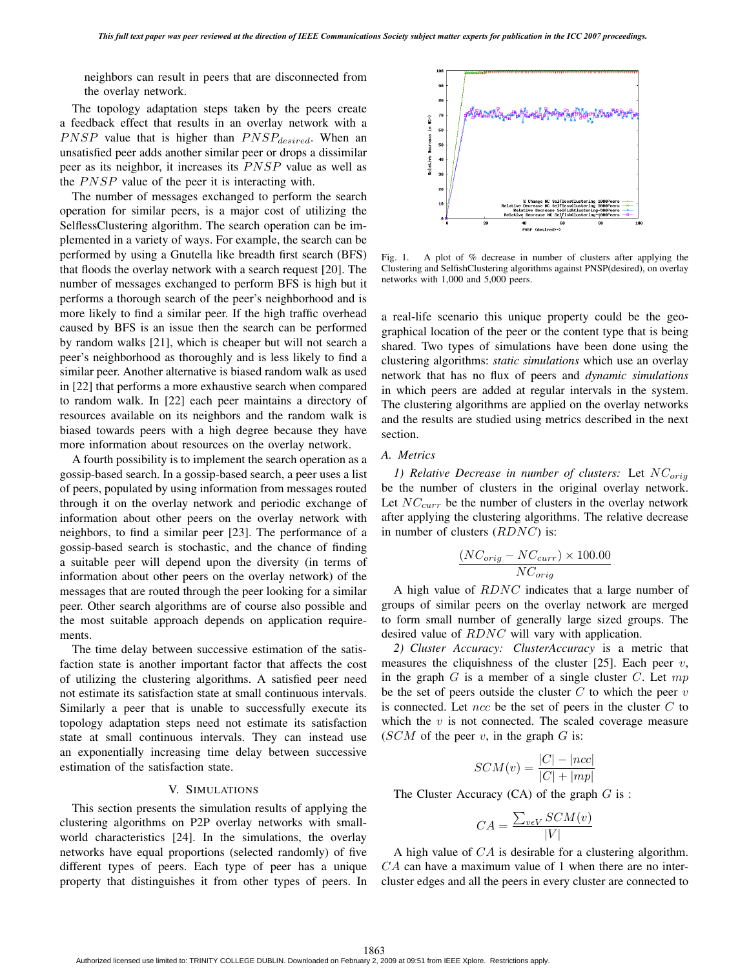neighbors can result in peers that are disconnected from the overlay network.

The topology adaptation steps taken by the peers create a feedback effect that results in an overlay network with a *PNSP* value that is higher than  $PNSP_{desired}$ . When an unsatisfied peer adds another similar peer or drops a dissimilar peer as its neighbor, it increases its PNSP value as well as the PNSP value of the peer it is interacting with.

The number of messages exchanged to perform the search operation for similar peers, is a major cost of utilizing the SelflessClustering algorithm. The search operation can be implemented in a variety of ways. For example, the search can be performed by using a Gnutella like breadth first search (BFS) that floods the overlay network with a search request [20]. The number of messages exchanged to perform BFS is high but it performs a thorough search of the peer's neighborhood and is more likely to find a similar peer. If the high traffic overhead caused by BFS is an issue then the search can be performed by random walks [21], which is cheaper but will not search a peer's neighborhood as thoroughly and is less likely to find a similar peer. Another alternative is biased random walk as used in [22] that performs a more exhaustive search when compared to random walk. In [22] each peer maintains a directory of resources available on its neighbors and the random walk is biased towards peers with a high degree because they have more information about resources on the overlay network.

A fourth possibility is to implement the search operation as a gossip-based search. In a gossip-based search, a peer uses a list of peers, populated by using information from messages routed through it on the overlay network and periodic exchange of information about other peers on the overlay network with neighbors, to find a similar peer [23]. The performance of a gossip-based search is stochastic, and the chance of finding a suitable peer will depend upon the diversity (in terms of information about other peers on the overlay network) of the messages that are routed through the peer looking for a similar peer. Other search algorithms are of course also possible and the most suitable approach depends on application requirements.

The time delay between successive estimation of the satisfaction state is another important factor that affects the cost of utilizing the clustering algorithms. A satisfied peer need not estimate its satisfaction state at small continuous intervals. Similarly a peer that is unable to successfully execute its topology adaptation steps need not estimate its satisfaction state at small continuous intervals. They can instead use an exponentially increasing time delay between successive estimation of the satisfaction state.

#### V. SIMULATIONS

This section presents the simulation results of applying the clustering algorithms on P2P overlay networks with smallworld characteristics [24]. In the simulations, the overlay networks have equal proportions (selected randomly) of five different types of peers. Each type of peer has a unique property that distinguishes it from other types of peers. In



Fig. 1. A plot of % decrease in number of clusters after applying the Clustering and SelfishClustering algorithms against PNSP(desired), on overlay networks with 1,000 and 5,000 peers.

a real-life scenario this unique property could be the geographical location of the peer or the content type that is being shared. Two types of simulations have been done using the clustering algorithms: *static simulations* which use an overlay network that has no flux of peers and *dynamic simulations* in which peers are added at regular intervals in the system. The clustering algorithms are applied on the overlay networks and the results are studied using metrics described in the next section.

# *A. Metrics*

*1) Relative Decrease in number of clusters:* Let  $NC_{\text{orig}}$ be the number of clusters in the original overlay network. Let  $NC_{curr}$  be the number of clusters in the overlay network after applying the clustering algorithms. The relative decrease in number of clusters  $(RDNC)$  is:

$$
\frac{(NC_{orig} - NC_{curr}) \times 100.00}{NC_{orig}}
$$

A high value of  $RDNC$  indicates that a large number of  $\sum_{n=1}^{\infty}$  of  $\sum_{n=1}^{\infty}$  of  $\sum_{n=1}^{\infty}$  of  $\sum_{n=1}^{\infty}$  of  $\sum_{n=1}^{\infty}$  or  $\sum_{n=1}^{\infty}$  or  $\sum_{n=1}^{\infty}$  or  $\sum_{n=1}^{\infty}$  or  $\sum_{n=1}^{\infty}$  or  $\sum_{$ groups of similar peers on the overlay network are merged to form small number of generally large sized groups. The desired value of RDNC will vary with application.

*2) Cluster Accuracy: ClusterAccuracy* is a metric that measures the cliquishness of the cluster  $[25]$ . Each peer v, in the graph  $G$  is a member of a single cluster  $C$ . Let  $mp$ be the set of peers outside the cluster  $C$  to which the peer  $v$ is connected. Let  $\eta$ cc be the set of peers in the cluster  $C$  to which the  $v$  is not connected. The scaled coverage measure ( $SCM$  of the peer v, in the graph G is:

$$
SCM(v) = \frac{|C| - |ncc|}{|C| + |mp|}
$$

The Cluster Accuracy (CA) of the graph  $G$  is :

$$
CA = \frac{\sum_{v \in V} SCM(v)}{|V|}
$$

A high value of  $CA$  is desirable for a clustering algorithm.<br>A can have a maximum value of 1 when there are no inter- $CA$  can have a maximum value of 1 when there are no intercluster edges and all the peers in every cluster are connected to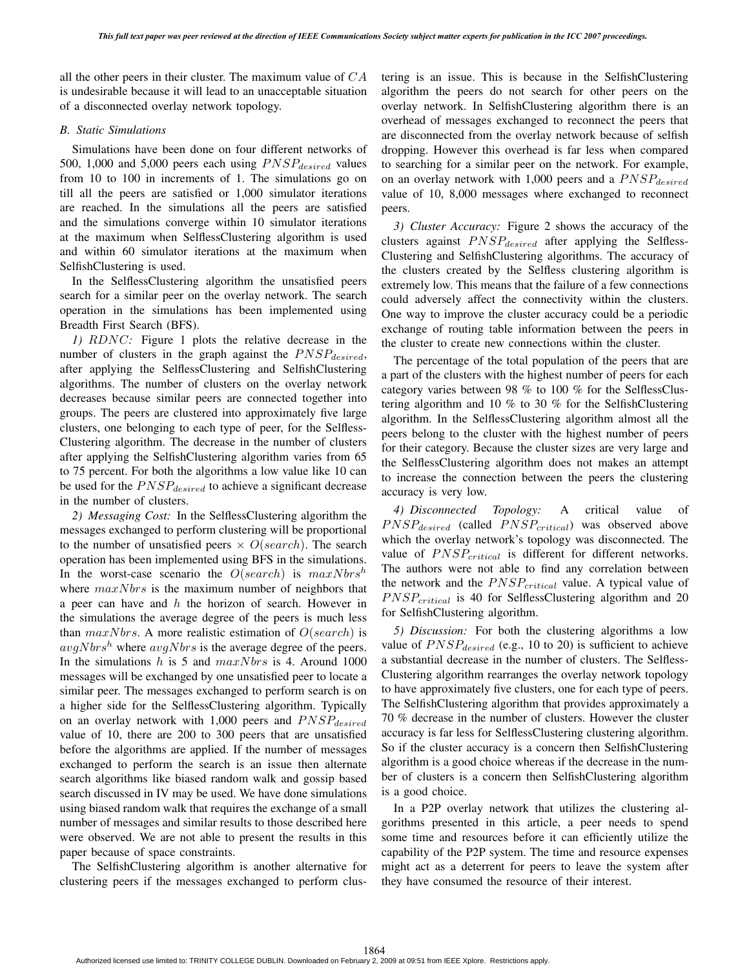all the other peers in their cluster. The maximum value of  $CA$ is undesirable because it will lead to an unacceptable situation of a disconnected overlay network topology.

# *B. Static Simulations*

Simulations have been done on four different networks of 500, 1,000 and 5,000 peers each using  $PNSP_{desired}$  values from 10 to 100 in increments of 1. The simulations go on till all the peers are satisfied or 1,000 simulator iterations are reached. In the simulations all the peers are satisfied and the simulations converge within 10 simulator iterations at the maximum when SelflessClustering algorithm is used and within 60 simulator iterations at the maximum when SelfishClustering is used.

In the SelflessClustering algorithm the unsatisfied peers search for a similar peer on the overlay network. The search operation in the simulations has been implemented using Breadth First Search (BFS).

*1)* RDNC*:* Figure 1 plots the relative decrease in the number of clusters in the graph against the  $PNSP_{desired}$ , after applying the SelflessClustering and SelfishClustering algorithms. The number of clusters on the overlay network decreases because similar peers are connected together into groups. The peers are clustered into approximately five large clusters, one belonging to each type of peer, for the Selfless-Clustering algorithm. The decrease in the number of clusters after applying the SelfishClustering algorithm varies from 65 to 75 percent. For both the algorithms a low value like 10 can be used for the  $PNSP_{desired}$  to achieve a significant decrease in the number of clusters.

*2) Messaging Cost:* In the SelflessClustering algorithm the messages exchanged to perform clustering will be proportional to the number of unsatisfied peers  $\times$   $O(search)$ . The search operation has been implemented using BFS in the simulations. In the worst-case scenario the  $O(search)$  is  $maxNbr<sup>h</sup>$ where  $maxNbrs$  is the maximum number of neighbors that a peer can have and  $h$  the horizon of search. However in the simulations the average degree of the peers is much less than  $maxNbrs$ . A more realistic estimation of  $O(search)$  is  $avgNbrs<sup>h</sup>$  where  $avgNbrs$  is the average degree of the peers. In the simulations  $h$  is 5 and  $maxNbrs$  is 4. Around 1000 messages will be exchanged by one unsatisfied peer to locate a similar peer. The messages exchanged to perform search is on a higher side for the SelflessClustering algorithm. Typically on an overlay network with 1,000 peers and  $PNSP_{desired}$ value of 10, there are 200 to 300 peers that are unsatisfied before the algorithms are applied. If the number of messages exchanged to perform the search is an issue then alternate search algorithms like biased random walk and gossip based search discussed in IV may be used. We have done simulations using biased random walk that requires the exchange of a small number of messages and similar results to those described here were observed. We are not able to present the results in this paper because of space constraints.

The SelfishClustering algorithm is another alternative for clustering peers if the messages exchanged to perform clustering is an issue. This is because in the SelfishClustering algorithm the peers do not search for other peers on the overlay network. In SelfishClustering algorithm there is an overhead of messages exchanged to reconnect the peers that are disconnected from the overlay network because of selfish dropping. However this overhead is far less when compared to searching for a similar peer on the network. For example, on an overlay network with 1,000 peers and a  $PNSP_{desired}$ value of 10, 8,000 messages where exchanged to reconnect peers.

*3) Cluster Accuracy:* Figure 2 shows the accuracy of the clusters against  $PNSP_{desired}$  after applying the Selfless-Clustering and SelfishClustering algorithms. The accuracy of the clusters created by the Selfless clustering algorithm is extremely low. This means that the failure of a few connections could adversely affect the connectivity within the clusters. One way to improve the cluster accuracy could be a periodic exchange of routing table information between the peers in the cluster to create new connections within the cluster.

The percentage of the total population of the peers that are a part of the clusters with the highest number of peers for each category varies between 98 % to 100 % for the SelflessClustering algorithm and 10 % to 30 % for the SelfishClustering algorithm. In the SelflessClustering algorithm almost all the peers belong to the cluster with the highest number of peers for their category. Because the cluster sizes are very large and the SelflessClustering algorithm does not makes an attempt to increase the connection between the peers the clustering accuracy is very low.

*4) Disconnected Topology:* A critical value of  $PNSP_{desired}$  (called  $PNSP_{critical}$ ) was observed above which the overlay network's topology was disconnected. The value of  $PNSP_{critical}$  is different for different networks. The authors were not able to find any correlation between the network and the  $PNSP_{critical}$  value. A typical value of  $PNSP_{critical}$  is 40 for SelflessClustering algorithm and 20 for SelfishClustering algorithm.

*5) Discussion:* For both the clustering algorithms a low value of  $PNSP_{desired}$  (e.g., 10 to 20) is sufficient to achieve a substantial decrease in the number of clusters. The Selfless-Clustering algorithm rearranges the overlay network topology to have approximately five clusters, one for each type of peers. The SelfishClustering algorithm that provides approximately a 70 % decrease in the number of clusters. However the cluster accuracy is far less for SelflessClustering clustering algorithm. So if the cluster accuracy is a concern then SelfishClustering algorithm is a good choice whereas if the decrease in the number of clusters is a concern then SelfishClustering algorithm is a good choice.

In a P2P overlay network that utilizes the clustering algorithms presented in this article, a peer needs to spend some time and resources before it can efficiently utilize the capability of the P2P system. The time and resource expenses might act as a deterrent for peers to leave the system after they have consumed the resource of their interest.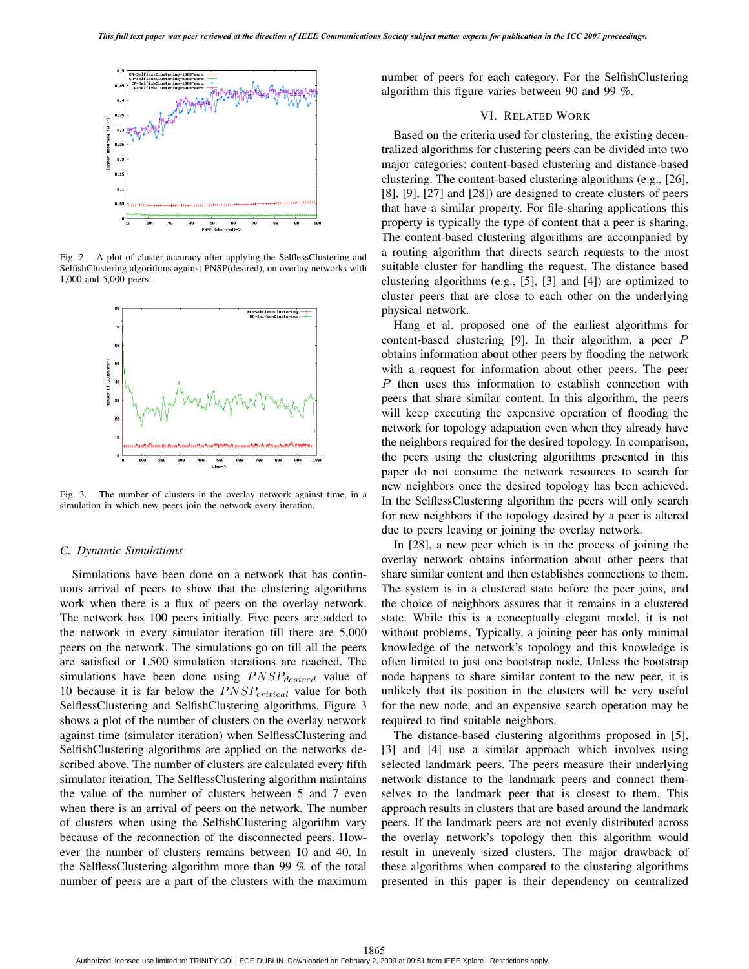

Fig. 2. A plot of cluster accuracy after applying the SelflessClustering and SelfishClustering algorithms against PNSP(desired), on overlay networks with 1,000 and 5,000 peers.



Fig. 3. The number of clusters in the overlay network against time, in a simulation in which new peers join the network every iteration.

# *C. Dynamic Simulations*

Simulations have been done on a network that has continuous arrival of peers to show that the clustering algorithms work when there is a flux of peers on the overlay network. The network has 100 peers initially. Five peers are added to the network in every simulator iteration till there are 5,000 peers on the network. The simulations go on till all the peers are satisfied or 1,500 simulation iterations are reached. The simulations have been done using  $PNSP_{desired}$  value of 10 because it is far below the  $PNSP_{critical}$  value for both SelflessClustering and SelfishClustering algorithms. Figure 3 shows a plot of the number of clusters on the overlay network against time (simulator iteration) when SelflessClustering and SelfishClustering algorithms are applied on the networks described above. The number of clusters are calculated every fifth simulator iteration. The SelflessClustering algorithm maintains the value of the number of clusters between 5 and 7 even when there is an arrival of peers on the network. The number of clusters when using the SelfishClustering algorithm vary because of the reconnection of the disconnected peers. However the number of clusters remains between 10 and 40. In the SelflessClustering algorithm more than 99 % of the total number of peers are a part of the clusters with the maximum number of peers for each category. For the SelfishClustering algorithm this figure varies between 90 and 99 %.

# VI. RELATED WORK

Based on the criteria used for clustering, the existing decentralized algorithms for clustering peers can be divided into two major categories: content-based clustering and distance-based clustering. The content-based clustering algorithms (e.g., [26], [8], [9], [27] and [28]) are designed to create clusters of peers that have a similar property. For file-sharing applications this property is typically the type of content that a peer is sharing. The content-based clustering algorithms are accompanied by a routing algorithm that directs search requests to the most suitable cluster for handling the request. The distance based clustering algorithms (e.g., [5], [3] and [4]) are optimized to cluster peers that are close to each other on the underlying physical network.

Hang et al. proposed one of the earliest algorithms for content-based clustering [9]. In their algorithm, a peer P obtains information about other peers by flooding the network with a request for information about other peers. The peer P then uses this information to establish connection with peers that share similar content. In this algorithm, the peers will keep executing the expensive operation of flooding the network for topology adaptation even when they already have the neighbors required for the desired topology. In comparison, the peers using the clustering algorithms presented in this paper do not consume the network resources to search for new neighbors once the desired topology has been achieved. In the SelflessClustering algorithm the peers will only search for new neighbors if the topology desired by a peer is altered due to peers leaving or joining the overlay network.

In [28], a new peer which is in the process of joining the overlay network obtains information about other peers that share similar content and then establishes connections to them. The system is in a clustered state before the peer joins, and the choice of neighbors assures that it remains in a clustered state. While this is a conceptually elegant model, it is not without problems. Typically, a joining peer has only minimal knowledge of the network's topology and this knowledge is often limited to just one bootstrap node. Unless the bootstrap node happens to share similar content to the new peer, it is unlikely that its position in the clusters will be very useful for the new node, and an expensive search operation may be required to find suitable neighbors.

The distance-based clustering algorithms proposed in [5], [3] and [4] use a similar approach which involves using selected landmark peers. The peers measure their underlying network distance to the landmark peers and connect themselves to the landmark peer that is closest to them. This approach results in clusters that are based around the landmark peers. If the landmark peers are not evenly distributed across the overlay network's topology then this algorithm would result in unevenly sized clusters. The major drawback of these algorithms when compared to the clustering algorithms presented in this paper is their dependency on centralized